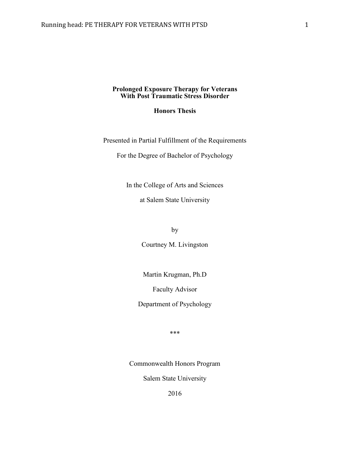#### **Prolonged Exposure Therapy for Veterans With Post Traumatic Stress Disorder**

# **Honors Thesis**

Presented in Partial Fulfillment of the Requirements

For the Degree of Bachelor of Psychology

In the College of Arts and Sciences

at Salem State University

by

Courtney M. Livingston

Martin Krugman, Ph.D

Faculty Advisor

Department of Psychology

\*\*\*

Commonwealth Honors Program

Salem State University

2016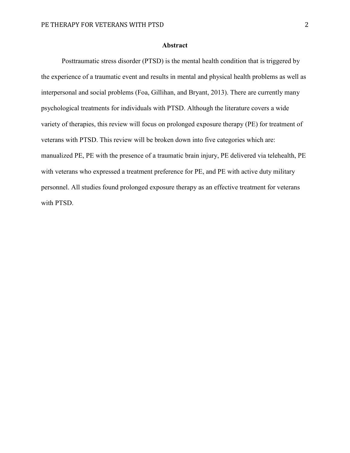## **Abstract**

Posttraumatic stress disorder (PTSD) is the mental health condition that is triggered by the experience of a traumatic event and results in mental and physical health problems as well as interpersonal and social problems (Foa, Gillihan, and Bryant, 2013). There are currently many psychological treatments for individuals with PTSD. Although the literature covers a wide variety of therapies, this review will focus on prolonged exposure therapy (PE) for treatment of veterans with PTSD. This review will be broken down into five categories which are: manualized PE, PE with the presence of a traumatic brain injury, PE delivered via telehealth, PE with veterans who expressed a treatment preference for PE, and PE with active duty military personnel. All studies found prolonged exposure therapy as an effective treatment for veterans with PTSD.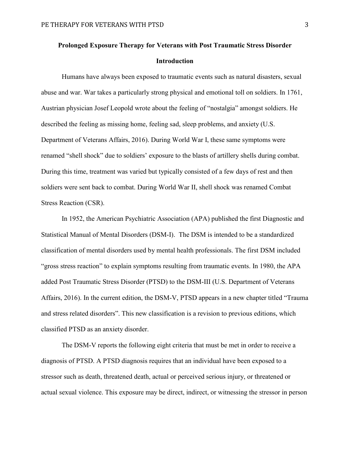# **Prolonged Exposure Therapy for Veterans with Post Traumatic Stress Disorder Introduction**

Humans have always been exposed to traumatic events such as natural disasters, sexual abuse and war. War takes a particularly strong physical and emotional toll on soldiers. In 1761, Austrian physician Josef Leopold wrote about the feeling of "nostalgia" amongst soldiers. He described the feeling as missing home, feeling sad, sleep problems, and anxiety (U.S. Department of Veterans Affairs, 2016). During World War I, these same symptoms were renamed "shell shock" due to soldiers' exposure to the blasts of artillery shells during combat. During this time, treatment was varied but typically consisted of a few days of rest and then soldiers were sent back to combat. During World War II, shell shock was renamed Combat Stress Reaction (CSR).

In 1952, the American Psychiatric Association (APA) published the first Diagnostic and Statistical Manual of Mental Disorders (DSM-I). The DSM is intended to be a standardized classification of mental disorders used by mental health professionals. The first DSM included "gross stress reaction" to explain symptoms resulting from traumatic events. In 1980, the APA added Post Traumatic Stress Disorder (PTSD) to the DSM-III (U.S. Department of Veterans Affairs, 2016). In the current edition, the DSM-V, PTSD appears in a new chapter titled "Trauma and stress related disorders". This new classification is a revision to previous editions, which classified PTSD as an anxiety disorder.

The DSM-V reports the following eight criteria that must be met in order to receive a diagnosis of PTSD. A PTSD diagnosis requires that an individual have been exposed to a stressor such as death, threatened death, actual or perceived serious injury, or threatened or actual sexual violence. This exposure may be direct, indirect, or witnessing the stressor in person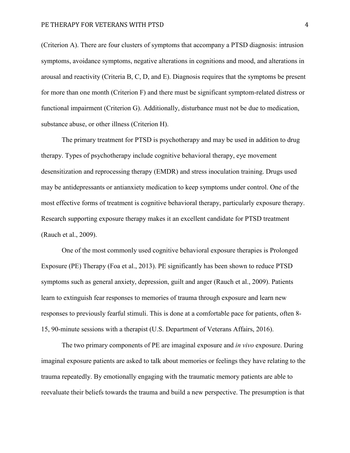(Criterion A). There are four clusters of symptoms that accompany a PTSD diagnosis: intrusion symptoms, avoidance symptoms, negative alterations in cognitions and mood, and alterations in arousal and reactivity (Criteria B, C, D, and E). Diagnosis requires that the symptoms be present for more than one month (Criterion F) and there must be significant symptom-related distress or functional impairment (Criterion G). Additionally, disturbance must not be due to medication, substance abuse, or other illness (Criterion H).

The primary treatment for PTSD is psychotherapy and may be used in addition to drug therapy. Types of psychotherapy include cognitive behavioral therapy, eye movement desensitization and reprocessing therapy (EMDR) and stress inoculation training. Drugs used may be antidepressants or antianxiety medication to keep symptoms under control. One of the most effective forms of treatment is cognitive behavioral therapy, particularly exposure therapy. Research supporting exposure therapy makes it an excellent candidate for PTSD treatment (Rauch et al., 2009).

One of the most commonly used cognitive behavioral exposure therapies is Prolonged Exposure (PE) Therapy (Foa et al., 2013). PE significantly has been shown to reduce PTSD symptoms such as general anxiety, depression, guilt and anger (Rauch et al., 2009). Patients learn to extinguish fear responses to memories of trauma through exposure and learn new responses to previously fearful stimuli. This is done at a comfortable pace for patients, often 8- 15, 90-minute sessions with a therapist (U.S. Department of Veterans Affairs, 2016).

The two primary components of PE are imaginal exposure and *in vivo* exposure. During imaginal exposure patients are asked to talk about memories or feelings they have relating to the trauma repeatedly. By emotionally engaging with the traumatic memory patients are able to reevaluate their beliefs towards the trauma and build a new perspective. The presumption is that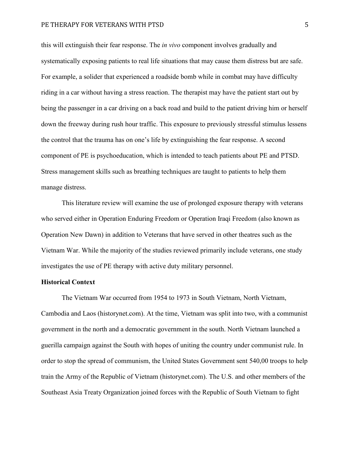#### PE THERAPY FOR VETERANS WITH PTSD 5

this will extinguish their fear response. The *in vivo* component involves gradually and systematically exposing patients to real life situations that may cause them distress but are safe. For example, a solider that experienced a roadside bomb while in combat may have difficulty riding in a car without having a stress reaction. The therapist may have the patient start out by being the passenger in a car driving on a back road and build to the patient driving him or herself down the freeway during rush hour traffic. This exposure to previously stressful stimulus lessens the control that the trauma has on one's life by extinguishing the fear response. A second component of PE is psychoeducation, which is intended to teach patients about PE and PTSD. Stress management skills such as breathing techniques are taught to patients to help them manage distress.

This literature review will examine the use of prolonged exposure therapy with veterans who served either in Operation Enduring Freedom or Operation Iraqi Freedom (also known as Operation New Dawn) in addition to Veterans that have served in other theatres such as the Vietnam War. While the majority of the studies reviewed primarily include veterans, one study investigates the use of PE therapy with active duty military personnel.

# **Historical Context**

The Vietnam War occurred from 1954 to 1973 in South Vietnam, North Vietnam, Cambodia and Laos (historynet.com). At the time, Vietnam was split into two, with a communist government in the north and a democratic government in the south. North Vietnam launched a guerilla campaign against the South with hopes of uniting the country under communist rule. In order to stop the spread of communism, the United States Government sent 540,00 troops to help train the Army of the Republic of Vietnam (historynet.com). The U.S. and other members of the Southeast Asia Treaty Organization joined forces with the Republic of South Vietnam to fight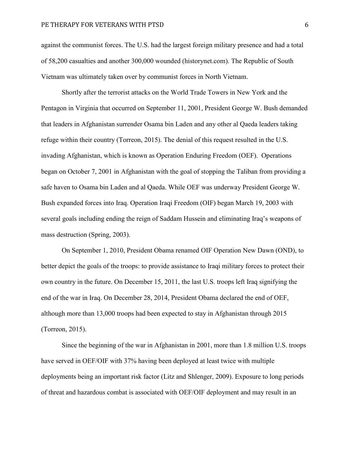against the communist forces. The U.S. had the largest foreign military presence and had a total of 58,200 casualties and another 300,000 wounded (historynet.com). The Republic of South Vietnam was ultimately taken over by communist forces in North Vietnam.

Shortly after the terrorist attacks on the World Trade Towers in New York and the Pentagon in Virginia that occurred on September 11, 2001, President George W. Bush demanded that leaders in Afghanistan surrender Osama bin Laden and any other al Qaeda leaders taking refuge within their country (Torreon, 2015). The denial of this request resulted in the U.S. invading Afghanistan, which is known as Operation Enduring Freedom (OEF). Operations began on October 7, 2001 in Afghanistan with the goal of stopping the Taliban from providing a safe haven to Osama bin Laden and al Qaeda. While OEF was underway President George W. Bush expanded forces into Iraq. Operation Iraqi Freedom (OIF) began March 19, 2003 with several goals including ending the reign of Saddam Hussein and eliminating Iraq's weapons of mass destruction (Spring, 2003).

On September 1, 2010, President Obama renamed OIF Operation New Dawn (OND), to better depict the goals of the troops: to provide assistance to Iraqi military forces to protect their own country in the future. On December 15, 2011, the last U.S. troops left Iraq signifying the end of the war in Iraq. On December 28, 2014, President Obama declared the end of OEF, although more than 13,000 troops had been expected to stay in Afghanistan through 2015 (Torreon, 2015).

Since the beginning of the war in Afghanistan in 2001, more than 1.8 million U.S. troops have served in OEF/OIF with 37% having been deployed at least twice with multiple deployments being an important risk factor (Litz and Shlenger, 2009). Exposure to long periods of threat and hazardous combat is associated with OEF/OIF deployment and may result in an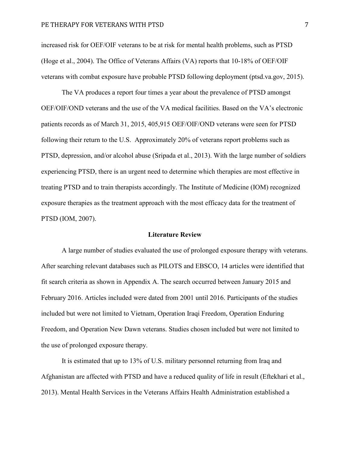increased risk for OEF/OIF veterans to be at risk for mental health problems, such as PTSD (Hoge et al., 2004). The Office of Veterans Affairs (VA) reports that 10-18% of OEF/OIF veterans with combat exposure have probable PTSD following deployment (ptsd.va.gov, 2015).

The VA produces a report four times a year about the prevalence of PTSD amongst OEF/OIF/OND veterans and the use of the VA medical facilities. Based on the VA's electronic patients records as of March 31, 2015, 405,915 OEF/OIF/OND veterans were seen for PTSD following their return to the U.S. Approximately 20% of veterans report problems such as PTSD, depression, and/or alcohol abuse (Sripada et al., 2013). With the large number of soldiers experiencing PTSD, there is an urgent need to determine which therapies are most effective in treating PTSD and to train therapists accordingly. The Institute of Medicine (IOM) recognized exposure therapies as the treatment approach with the most efficacy data for the treatment of PTSD (IOM, 2007).

#### **Literature Review**

A large number of studies evaluated the use of prolonged exposure therapy with veterans. After searching relevant databases such as PILOTS and EBSCO, 14 articles were identified that fit search criteria as shown in Appendix A. The search occurred between January 2015 and February 2016. Articles included were dated from 2001 until 2016. Participants of the studies included but were not limited to Vietnam, Operation Iraqi Freedom, Operation Enduring Freedom, and Operation New Dawn veterans. Studies chosen included but were not limited to the use of prolonged exposure therapy.

It is estimated that up to 13% of U.S. military personnel returning from Iraq and Afghanistan are affected with PTSD and have a reduced quality of life in result (Eftekhari et al., 2013). Mental Health Services in the Veterans Affairs Health Administration established a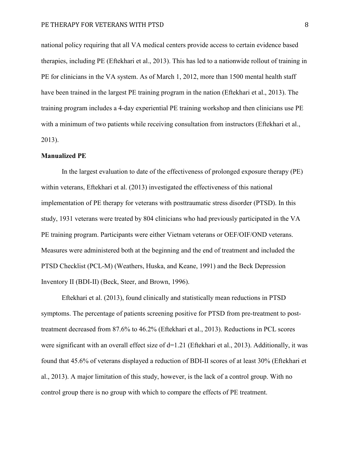national policy requiring that all VA medical centers provide access to certain evidence based therapies, including PE (Eftekhari et al., 2013). This has led to a nationwide rollout of training in PE for clinicians in the VA system. As of March 1, 2012, more than 1500 mental health staff have been trained in the largest PE training program in the nation (Eftekhari et al., 2013). The training program includes a 4-day experiential PE training workshop and then clinicians use PE with a minimum of two patients while receiving consultation from instructors (Eftekhari et al., 2013).

#### **Manualized PE**

In the largest evaluation to date of the effectiveness of prolonged exposure therapy (PE) within veterans, Eftekhari et al. (2013) investigated the effectiveness of this national implementation of PE therapy for veterans with posttraumatic stress disorder (PTSD). In this study, 1931 veterans were treated by 804 clinicians who had previously participated in the VA PE training program. Participants were either Vietnam veterans or OEF/OIF/OND veterans. Measures were administered both at the beginning and the end of treatment and included the PTSD Checklist (PCL-M) (Weathers, Huska, and Keane, 1991) and the Beck Depression Inventory II (BDI-II) (Beck, Steer, and Brown, 1996).

Eftekhari et al. (2013), found clinically and statistically mean reductions in PTSD symptoms. The percentage of patients screening positive for PTSD from pre-treatment to posttreatment decreased from 87.6% to 46.2% (Eftekhari et al., 2013). Reductions in PCL scores were significant with an overall effect size of d=1.21 (Eftekhari et al., 2013). Additionally, it was found that 45.6% of veterans displayed a reduction of BDI-II scores of at least 30% (Eftekhari et al., 2013). A major limitation of this study, however, is the lack of a control group. With no control group there is no group with which to compare the effects of PE treatment.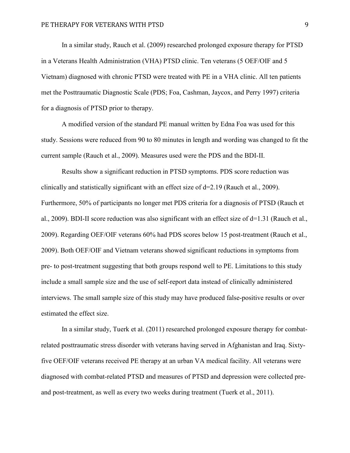In a similar study, Rauch et al. (2009) researched prolonged exposure therapy for PTSD in a Veterans Health Administration (VHA) PTSD clinic. Ten veterans (5 OEF/OIF and 5 Vietnam) diagnosed with chronic PTSD were treated with PE in a VHA clinic. All ten patients met the Posttraumatic Diagnostic Scale (PDS; Foa, Cashman, Jaycox, and Perry 1997) criteria for a diagnosis of PTSD prior to therapy.

A modified version of the standard PE manual written by Edna Foa was used for this study. Sessions were reduced from 90 to 80 minutes in length and wording was changed to fit the current sample (Rauch et al., 2009). Measures used were the PDS and the BDI-II.

Results show a significant reduction in PTSD symptoms. PDS score reduction was clinically and statistically significant with an effect size of d=2.19 (Rauch et al., 2009). Furthermore, 50% of participants no longer met PDS criteria for a diagnosis of PTSD (Rauch et al., 2009). BDI-II score reduction was also significant with an effect size of d=1.31 (Rauch et al., 2009). Regarding OEF/OIF veterans 60% had PDS scores below 15 post-treatment (Rauch et al., 2009). Both OEF/OIF and Vietnam veterans showed significant reductions in symptoms from pre- to post-treatment suggesting that both groups respond well to PE. Limitations to this study include a small sample size and the use of self-report data instead of clinically administered interviews. The small sample size of this study may have produced false-positive results or over estimated the effect size.

In a similar study, Tuerk et al. (2011) researched prolonged exposure therapy for combatrelated posttraumatic stress disorder with veterans having served in Afghanistan and Iraq. Sixtyfive OEF/OIF veterans received PE therapy at an urban VA medical facility. All veterans were diagnosed with combat-related PTSD and measures of PTSD and depression were collected preand post-treatment, as well as every two weeks during treatment (Tuerk et al., 2011).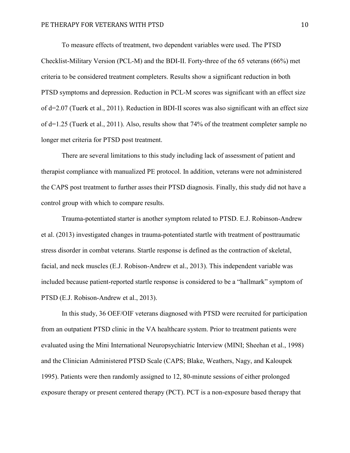To measure effects of treatment, two dependent variables were used. The PTSD Checklist-Military Version (PCL-M) and the BDI-II. Forty-three of the 65 veterans (66%) met criteria to be considered treatment completers. Results show a significant reduction in both PTSD symptoms and depression. Reduction in PCL-M scores was significant with an effect size of d=2.07 (Tuerk et al., 2011). Reduction in BDI-II scores was also significant with an effect size of d=1.25 (Tuerk et al., 2011). Also, results show that 74% of the treatment completer sample no longer met criteria for PTSD post treatment.

There are several limitations to this study including lack of assessment of patient and therapist compliance with manualized PE protocol. In addition, veterans were not administered the CAPS post treatment to further asses their PTSD diagnosis. Finally, this study did not have a control group with which to compare results.

Trauma-potentiated starter is another symptom related to PTSD. E.J. Robinson-Andrew et al. (2013) investigated changes in trauma-potentiated startle with treatment of posttraumatic stress disorder in combat veterans. Startle response is defined as the contraction of skeletal, facial, and neck muscles (E.J. Robison-Andrew et al., 2013). This independent variable was included because patient-reported startle response is considered to be a "hallmark" symptom of PTSD (E.J. Robison-Andrew et al., 2013).

In this study, 36 OEF/OIF veterans diagnosed with PTSD were recruited for participation from an outpatient PTSD clinic in the VA healthcare system. Prior to treatment patients were evaluated using the Mini International Neuropsychiatric Interview (MINI; Sheehan et al., 1998) and the Clinician Administered PTSD Scale (CAPS; Blake, Weathers, Nagy, and Kaloupek 1995). Patients were then randomly assigned to 12, 80-minute sessions of either prolonged exposure therapy or present centered therapy (PCT). PCT is a non-exposure based therapy that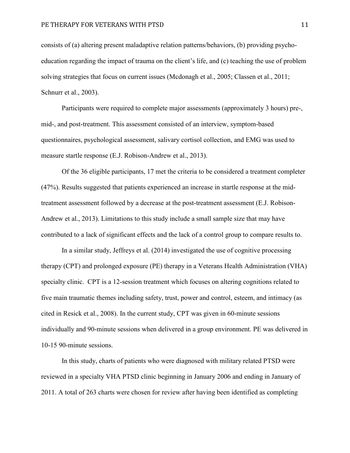consists of (a) altering present maladaptive relation patterns/behaviors, (b) providing psychoeducation regarding the impact of trauma on the client's life, and (c) teaching the use of problem solving strategies that focus on current issues (Mcdonagh et al., 2005; Classen et al., 2011; Schnurr et al., 2003).

Participants were required to complete major assessments (approximately 3 hours) pre-, mid-, and post-treatment. This assessment consisted of an interview, symptom-based questionnaires, psychological assessment, salivary cortisol collection, and EMG was used to measure startle response (E.J. Robison-Andrew et al., 2013).

Of the 36 eligible participants, 17 met the criteria to be considered a treatment completer (47%). Results suggested that patients experienced an increase in startle response at the midtreatment assessment followed by a decrease at the post-treatment assessment (E.J. Robison-Andrew et al., 2013). Limitations to this study include a small sample size that may have contributed to a lack of significant effects and the lack of a control group to compare results to.

In a similar study, Jeffreys et al. (2014) investigated the use of cognitive processing therapy (CPT) and prolonged exposure (PE) therapy in a Veterans Health Administration (VHA) specialty clinic. CPT is a 12-session treatment which focuses on altering cognitions related to five main traumatic themes including safety, trust, power and control, esteem, and intimacy (as cited in Resick et al., 2008). In the current study, CPT was given in 60-minute sessions individually and 90-minute sessions when delivered in a group environment. PE was delivered in 10-15 90-minute sessions.

In this study, charts of patients who were diagnosed with military related PTSD were reviewed in a specialty VHA PTSD clinic beginning in January 2006 and ending in January of 2011. A total of 263 charts were chosen for review after having been identified as completing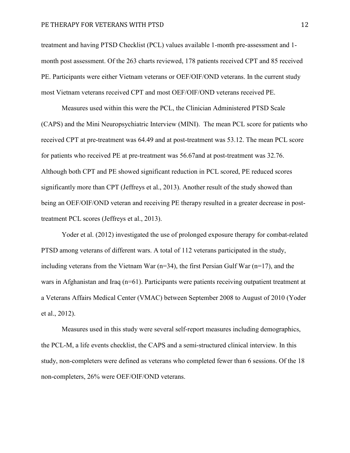#### PE THERAPY FOR VETERANS WITH PTSD 12

treatment and having PTSD Checklist (PCL) values available 1-month pre-assessment and 1 month post assessment. Of the 263 charts reviewed, 178 patients received CPT and 85 received PE. Participants were either Vietnam veterans or OEF/OIF/OND veterans. In the current study most Vietnam veterans received CPT and most OEF/OIF/OND veterans received PE.

Measures used within this were the PCL, the Clinician Administered PTSD Scale (CAPS) and the Mini Neuropsychiatric Interview (MINI). The mean PCL score for patients who received CPT at pre-treatment was 64.49 and at post-treatment was 53.12. The mean PCL score for patients who received PE at pre-treatment was 56.67and at post-treatment was 32.76. Although both CPT and PE showed significant reduction in PCL scored, PE reduced scores significantly more than CPT (Jeffreys et al., 2013). Another result of the study showed than being an OEF/OIF/OND veteran and receiving PE therapy resulted in a greater decrease in posttreatment PCL scores (Jeffreys et al., 2013).

Yoder et al. (2012) investigated the use of prolonged exposure therapy for combat-related PTSD among veterans of different wars. A total of 112 veterans participated in the study, including veterans from the Vietnam War (n=34), the first Persian Gulf War (n=17), and the wars in Afghanistan and Iraq (n=61). Participants were patients receiving outpatient treatment at a Veterans Affairs Medical Center (VMAC) between September 2008 to August of 2010 (Yoder et al., 2012).

Measures used in this study were several self-report measures including demographics, the PCL-M, a life events checklist, the CAPS and a semi-structured clinical interview. In this study, non-completers were defined as veterans who completed fewer than 6 sessions. Of the 18 non-completers, 26% were OEF/OIF/OND veterans.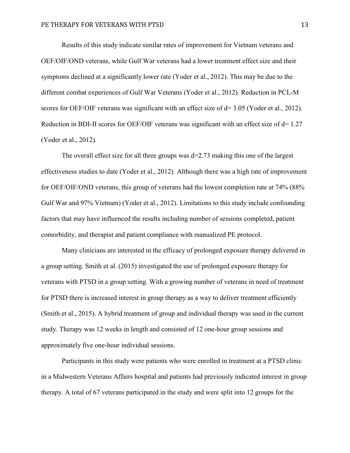Results of this study indicate similar rates of improvement for Vietnam veterans and OEF/OIF/OND veterans, while Gulf War veterans had a lower treatment effect size and their symptoms declined at a significantly lower rate (Yoder et al., 2012). This may be due to the different combat experiences of Gulf War Veterans (Yoder et al., 2012). Reduction in PCL-M scores for OEF/OIF veterans was significant with an effect size of  $d= 3.05$  (Yoder et al., 2012). Reduction in BDI-II scores for OEF/OIF veterans was significant with an effect size of d= 1.27 (Yoder et al., 2012).

The overall effect size for all three groups was  $d=2.73$  making this one of the largest effectiveness studies to date (Yoder et al., 2012). Although there was a high rate of improvement for OEF/OIF/OND veterans, this group of veterans had the lowest completion rate at 74% (88% Gulf War and 97% Vietnam) (Yoder et al., 2012). Limitations to this study include confounding factors that may have influenced the results including number of sessions completed, patient comorbidity, and therapist and patient compliance with manualized PE protocol.

Many clinicians are interested in the efficacy of prolonged exposure therapy delivered in a group setting. Smith et al. (2015) investigated the use of prolonged exposure therapy for veterans with PTSD in a group setting. With a growing number of veterans in need of treatment for PTSD there is increased interest in group therapy as a way to deliver treatment efficiently (Smith et al., 2015). A hybrid treatment of group and individual therapy was used in the current study. Therapy was 12 weeks in length and consisted of 12 one-hour group sessions and approximately five one-hour individual sessions.

Participants in this study were patients who were enrolled in treatment at a PTSD clinic in a Midwestern Veterans Affairs hospital and patients had previously indicated interest in group therapy. A total of 67 veterans participated in the study and were split into 12 groups for the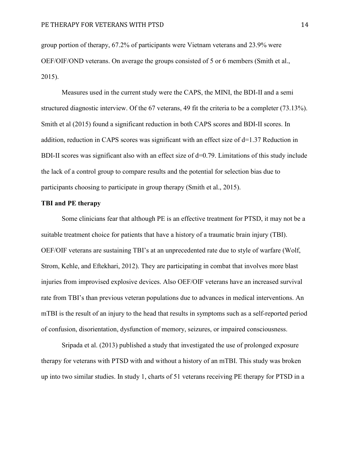group portion of therapy, 67.2% of participants were Vietnam veterans and 23.9% were OEF/OIF/OND veterans. On average the groups consisted of 5 or 6 members (Smith et al., 2015).

Measures used in the current study were the CAPS, the MINI, the BDI-II and a semi structured diagnostic interview. Of the 67 veterans, 49 fit the criteria to be a completer (73.13%). Smith et al (2015) found a significant reduction in both CAPS scores and BDI-II scores. In addition, reduction in CAPS scores was significant with an effect size of  $d=1.37$  Reduction in BDI-II scores was significant also with an effect size of  $d=0.79$ . Limitations of this study include the lack of a control group to compare results and the potential for selection bias due to participants choosing to participate in group therapy (Smith et al., 2015).

## **TBI and PE therapy**

Some clinicians fear that although PE is an effective treatment for PTSD, it may not be a suitable treatment choice for patients that have a history of a traumatic brain injury (TBI). OEF/OIF veterans are sustaining TBI's at an unprecedented rate due to style of warfare (Wolf, Strom, Kehle, and Eftekhari, 2012). They are participating in combat that involves more blast injuries from improvised explosive devices. Also OEF/OIF veterans have an increased survival rate from TBI's than previous veteran populations due to advances in medical interventions. An mTBI is the result of an injury to the head that results in symptoms such as a self-reported period of confusion, disorientation, dysfunction of memory, seizures, or impaired consciousness.

Sripada et al. (2013) published a study that investigated the use of prolonged exposure therapy for veterans with PTSD with and without a history of an mTBI. This study was broken up into two similar studies. In study 1, charts of 51 veterans receiving PE therapy for PTSD in a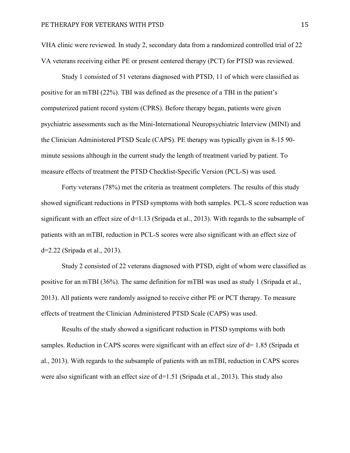VHA clinic were reviewed. In study 2, secondary data from a randomized controlled trial of 22 VA veterans receiving either PE or present centered therapy (PCT) for PTSD was reviewed.

Study 1 consisted of 51 veterans diagnosed with PTSD, 11 of which were classified as positive for an mTBI (22%). TBI was defined as the presence of a TBI in the patient's computerized patient record system (CPRS). Before therapy began, patients were given psychiatric assessments such as the Mini-International Neuropsychiatric Interview (MINI) and the Clinician Administered PTSD Scale (CAPS). PE therapy was typically given in 8-15 90 minute sessions although in the current study the length of treatment varied by patient. To measure effects of treatment the PTSD Checklist-Specific Version (PCL-S) was used.

Forty veterans (78%) met the criteria as treatment completers. The results of this study showed significant reductions in PTSD symptoms with both samples. PCL-S score reduction was significant with an effect size of  $d=1.13$  (Sripada et al., 2013). With regards to the subsample of patients with an mTBI, reduction in PCL-S scores were also significant with an effect size of d=2.22 (Sripada et al., 2013).

Study 2 consisted of 22 veterans diagnosed with PTSD, eight of whom were classified as positive for an mTBI (36%). The same definition for mTBI was used as study 1 (Sripada et al., 2013). All patients were randomly assigned to receive either PE or PCT therapy. To measure effects of treatment the Clinician Administered PTSD Scale (CAPS) was used.

Results of the study showed a significant reduction in PTSD symptoms with both samples. Reduction in CAPS scores were significant with an effect size of d= 1.85 (Sripada et al., 2013). With regards to the subsample of patients with an mTBI, reduction in CAPS scores were also significant with an effect size of d=1.51 (Sripada et al., 2013). This study also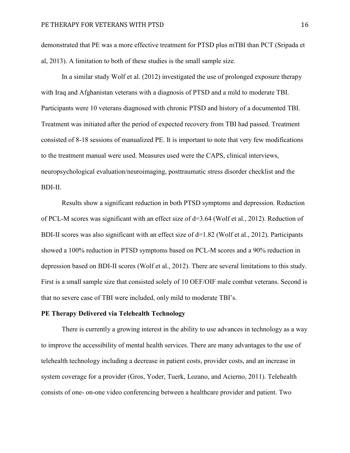demonstrated that PE was a more effective treatment for PTSD plus mTBI than PCT (Sripada et al, 2013). A limitation to both of these studies is the small sample size.

In a similar study Wolf et al. (2012) investigated the use of prolonged exposure therapy with Iraq and Afghanistan veterans with a diagnosis of PTSD and a mild to moderate TBI. Participants were 10 veterans diagnosed with chronic PTSD and history of a documented TBI. Treatment was initiated after the period of expected recovery from TBI had passed. Treatment consisted of 8-18 sessions of manualized PE. It is important to note that very few modifications to the treatment manual were used. Measures used were the CAPS, clinical interviews, neuropsychological evaluation/neuroimaging, posttraumatic stress disorder checklist and the BDI-II.

Results show a significant reduction in both PTSD symptoms and depression. Reduction of PCL-M scores was significant with an effect size of  $d=3.64$  (Wolf et al., 2012). Reduction of BDI-II scores was also significant with an effect size of  $d=1.82$  (Wolf et al., 2012). Participants showed a 100% reduction in PTSD symptoms based on PCL-M scores and a 90% reduction in depression based on BDI-II scores (Wolf et al., 2012). There are several limitations to this study. First is a small sample size that consisted solely of 10 OEF/OIF male combat veterans. Second is that no severe case of TBI were included, only mild to moderate TBI's.

## **PE Therapy Delivered via Telehealth Technology**

There is currently a growing interest in the ability to use advances in technology as a way to improve the accessibility of mental health services. There are many advantages to the use of telehealth technology including a decrease in patient costs, provider costs, and an increase in system coverage for a provider (Gros, Yoder, Tuerk, Lozano, and Acierno, 2011). Telehealth consists of one- on-one video conferencing between a healthcare provider and patient. Two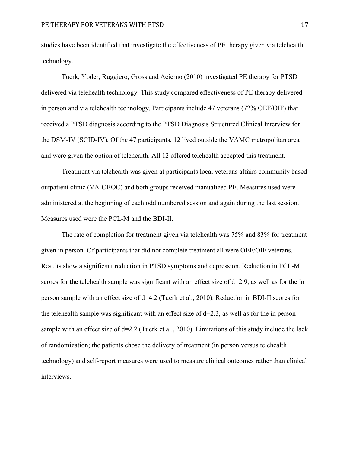studies have been identified that investigate the effectiveness of PE therapy given via telehealth technology.

Tuerk, Yoder, Ruggiero, Gross and Acierno (2010) investigated PE therapy for PTSD delivered via telehealth technology. This study compared effectiveness of PE therapy delivered in person and via telehealth technology. Participants include 47 veterans (72% OEF/OIF) that received a PTSD diagnosis according to the PTSD Diagnosis Structured Clinical Interview for the DSM-IV (SCID-IV). Of the 47 participants, 12 lived outside the VAMC metropolitan area and were given the option of telehealth. All 12 offered telehealth accepted this treatment.

Treatment via telehealth was given at participants local veterans affairs community based outpatient clinic (VA-CBOC) and both groups received manualized PE. Measures used were administered at the beginning of each odd numbered session and again during the last session. Measures used were the PCL-M and the BDI-II.

The rate of completion for treatment given via telehealth was 75% and 83% for treatment given in person. Of participants that did not complete treatment all were OEF/OIF veterans. Results show a significant reduction in PTSD symptoms and depression. Reduction in PCL-M scores for the telehealth sample was significant with an effect size of d=2.9, as well as for the in person sample with an effect size of d=4.2 (Tuerk et al., 2010). Reduction in BDI-II scores for the telehealth sample was significant with an effect size of  $d=2.3$ , as well as for the in person sample with an effect size of  $d=2.2$  (Tuerk et al., 2010). Limitations of this study include the lack of randomization; the patients chose the delivery of treatment (in person versus telehealth technology) and self-report measures were used to measure clinical outcomes rather than clinical interviews.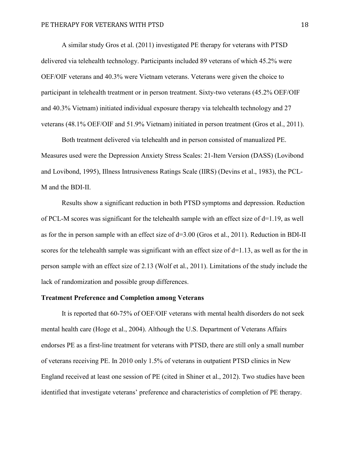A similar study Gros et al. (2011) investigated PE therapy for veterans with PTSD delivered via telehealth technology. Participants included 89 veterans of which 45.2% were OEF/OIF veterans and 40.3% were Vietnam veterans. Veterans were given the choice to participant in telehealth treatment or in person treatment. Sixty-two veterans (45.2% OEF/OIF and 40.3% Vietnam) initiated individual exposure therapy via telehealth technology and 27 veterans (48.1% OEF/OIF and 51.9% Vietnam) initiated in person treatment (Gros et al., 2011).

Both treatment delivered via telehealth and in person consisted of manualized PE. Measures used were the Depression Anxiety Stress Scales: 21-Item Version (DASS) (Lovibond and Lovibond, 1995), Illness Intrusiveness Ratings Scale (IIRS) (Devins et al., 1983), the PCL-M and the BDI-II.

Results show a significant reduction in both PTSD symptoms and depression. Reduction of PCL-M scores was significant for the telehealth sample with an effect size of  $d=1.19$ , as well as for the in person sample with an effect size of  $d=3.00$  (Gros et al., 2011). Reduction in BDI-II scores for the telehealth sample was significant with an effect size of d=1.13, as well as for the in person sample with an effect size of 2.13 (Wolf et al., 2011). Limitations of the study include the lack of randomization and possible group differences.

## **Treatment Preference and Completion among Veterans**

It is reported that 60-75% of OEF/OIF veterans with mental health disorders do not seek mental health care (Hoge et al., 2004). Although the U.S. Department of Veterans Affairs endorses PE as a first-line treatment for veterans with PTSD, there are still only a small number of veterans receiving PE. In 2010 only 1.5% of veterans in outpatient PTSD clinics in New England received at least one session of PE (cited in Shiner et al., 2012). Two studies have been identified that investigate veterans' preference and characteristics of completion of PE therapy.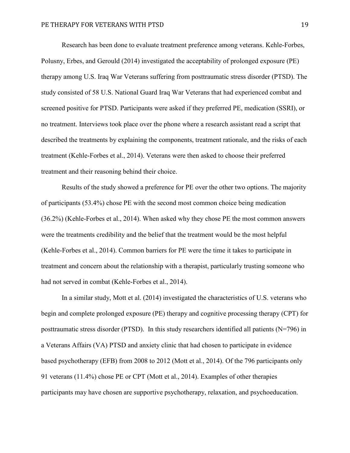Research has been done to evaluate treatment preference among veterans. Kehle-Forbes, Polusny, Erbes, and Gerould (2014) investigated the acceptability of prolonged exposure (PE) therapy among U.S. Iraq War Veterans suffering from posttraumatic stress disorder (PTSD). The study consisted of 58 U.S. National Guard Iraq War Veterans that had experienced combat and screened positive for PTSD. Participants were asked if they preferred PE, medication (SSRI), or no treatment. Interviews took place over the phone where a research assistant read a script that described the treatments by explaining the components, treatment rationale, and the risks of each treatment (Kehle-Forbes et al., 2014). Veterans were then asked to choose their preferred treatment and their reasoning behind their choice.

Results of the study showed a preference for PE over the other two options. The majority of participants (53.4%) chose PE with the second most common choice being medication (36.2%) (Kehle-Forbes et al., 2014). When asked why they chose PE the most common answers were the treatments credibility and the belief that the treatment would be the most helpful (Kehle-Forbes et al., 2014). Common barriers for PE were the time it takes to participate in treatment and concern about the relationship with a therapist, particularly trusting someone who had not served in combat (Kehle-Forbes et al., 2014).

In a similar study, Mott et al. (2014) investigated the characteristics of U.S. veterans who begin and complete prolonged exposure (PE) therapy and cognitive processing therapy (CPT) for posttraumatic stress disorder (PTSD). In this study researchers identified all patients (N=796) in a Veterans Affairs (VA) PTSD and anxiety clinic that had chosen to participate in evidence based psychotherapy (EFB) from 2008 to 2012 (Mott et al., 2014). Of the 796 participants only 91 veterans (11.4%) chose PE or CPT (Mott et al., 2014). Examples of other therapies participants may have chosen are supportive psychotherapy, relaxation, and psychoeducation.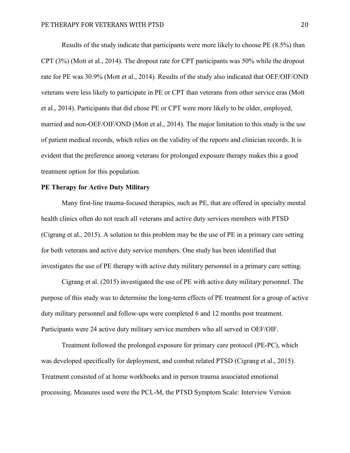Results of the study indicate that participants were more likely to choose PE (8.5%) than CPT (3%) (Mott et al., 2014). The dropout rate for CPT participants was 50% while the dropout rate for PE was 30.9% (Mott et al., 2014). Results of the study also indicated that OEF/OIF/OND veterans were less likely to participate in PE or CPT than veterans from other service eras (Mott et al., 2014). Participants that did chose PE or CPT were more likely to be older, employed, married and non-OEF/OIF/OND (Mott et al., 2014). The major limitation to this study is the use of patient medical records, which relies on the validity of the reports and clinician records. It is evident that the preference among veterans for prolonged exposure therapy makes this a good treatment option for this population.

# **PE Therapy for Active Duty Military**

Many first-line trauma-focused therapies, such as PE, that are offered in specialty mental health clinics often do not reach all veterans and active duty services members with PTSD (Cigrang et al., 2015). A solution to this problem may be the use of PE in a primary care setting for both veterans and active duty service members. One study has been identified that investigates the use of PE therapy with active duty military personnel in a primary care setting.

Cigrang et al. (2015) investigated the use of PE with active duty military personnel. The purpose of this study was to determine the long-term effects of PE treatment for a group of active duty military personnel and follow-ups were completed 6 and 12 months post treatment. Participants were 24 active duty military service members who all served in OEF/OIF.

Treatment followed the prolonged exposure for primary care protocol (PE-PC), which was developed specifically for deployment, and combat related PTSD (Cigrang et al., 2015). Treatment consisted of at home workbooks and in person trauma associated emotional processing. Measures used were the PCL-M, the PTSD Symptom Scale: Interview Version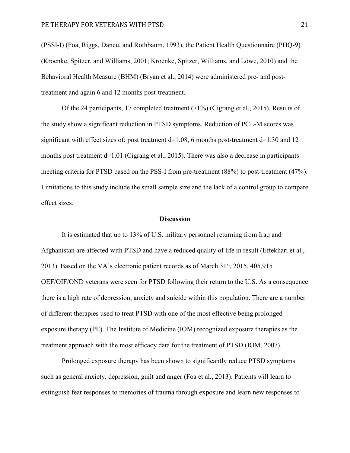(PSSI-I) (Foa, Riggs, Dancu, and Rothbaum, 1993), the Patient Health Questionnaire (PHQ-9) (Kroenke, Spitzer, and Williams, 2001; Kroenke, Spitzer, Williams, and Löwe, 2010) and the Behavioral Health Measure (BHM) (Bryan et al., 2014) were administered pre- and posttreatment and again 6 and 12 months post-treatment.

Of the 24 participants, 17 completed treatment (71%) (Cigrang et al., 2015). Results of the study show a significant reduction in PTSD symptoms. Reduction of PCL-M scores was significant with effect sizes of; post treatment  $d=1.08$ , 6 months post-treatment  $d=1.30$  and 12 months post treatment  $d=1.01$  (Cigrang et al., 2015). There was also a decrease in participants meeting criteria for PTSD based on the PSS-I from pre-treatment (88%) to post-treatment (47%). Limitations to this study include the small sample size and the lack of a control group to compare effect sizes.

#### **Discussion**

It is estimated that up to 13% of U.S. military personnel returning from Iraq and Afghanistan are affected with PTSD and have a reduced quality of life in result (Eftekhari et al., 2013). Based on the VA's electronic patient records as of March  $31<sup>st</sup>$ , 2015, 405,915 OEF/OIF/OND veterans were seen for PTSD following their return to the U.S. As a consequence there is a high rate of depression, anxiety and suicide within this population. There are a number of different therapies used to treat PTSD with one of the most effective being prolonged exposure therapy (PE). The Institute of Medicine (IOM) recognized exposure therapies as the treatment approach with the most efficacy data for the treatment of PTSD (IOM, 2007).

Prolonged exposure therapy has been shown to significantly reduce PTSD symptoms such as general anxiety, depression, guilt and anger (Foa et al., 2013). Patients will learn to extinguish fear responses to memories of trauma through exposure and learn new responses to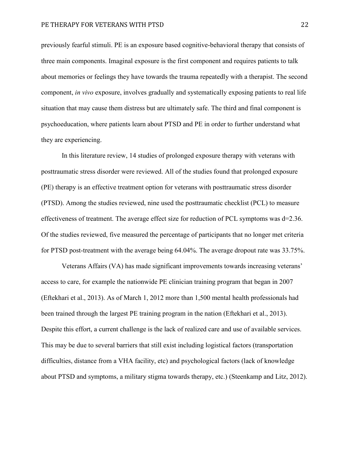previously fearful stimuli. PE is an exposure based cognitive-behavioral therapy that consists of three main components. Imaginal exposure is the first component and requires patients to talk about memories or feelings they have towards the trauma repeatedly with a therapist. The second component, *in vivo* exposure, involves gradually and systematically exposing patients to real life situation that may cause them distress but are ultimately safe. The third and final component is psychoeducation, where patients learn about PTSD and PE in order to further understand what they are experiencing.

In this literature review, 14 studies of prolonged exposure therapy with veterans with posttraumatic stress disorder were reviewed. All of the studies found that prolonged exposure (PE) therapy is an effective treatment option for veterans with posttraumatic stress disorder (PTSD). Among the studies reviewed, nine used the posttraumatic checklist (PCL) to measure effectiveness of treatment. The average effect size for reduction of PCL symptoms was d=2.36. Of the studies reviewed, five measured the percentage of participants that no longer met criteria for PTSD post-treatment with the average being 64.04%. The average dropout rate was 33.75%.

Veterans Affairs (VA) has made significant improvements towards increasing veterans' access to care, for example the nationwide PE clinician training program that began in 2007 (Eftekhari et al., 2013). As of March 1, 2012 more than 1,500 mental health professionals had been trained through the largest PE training program in the nation (Eftekhari et al., 2013). Despite this effort, a current challenge is the lack of realized care and use of available services. This may be due to several barriers that still exist including logistical factors (transportation difficulties, distance from a VHA facility, etc) and psychological factors (lack of knowledge about PTSD and symptoms, a military stigma towards therapy, etc.) (Steenkamp and Litz, 2012).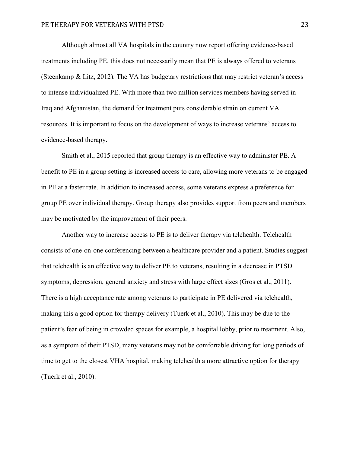Although almost all VA hospitals in the country now report offering evidence-based treatments including PE, this does not necessarily mean that PE is always offered to veterans (Steenkamp & Litz, 2012). The VA has budgetary restrictions that may restrict veteran's access to intense individualized PE. With more than two million services members having served in Iraq and Afghanistan, the demand for treatment puts considerable strain on current VA resources. It is important to focus on the development of ways to increase veterans' access to evidence-based therapy.

Smith et al., 2015 reported that group therapy is an effective way to administer PE. A benefit to PE in a group setting is increased access to care, allowing more veterans to be engaged in PE at a faster rate. In addition to increased access, some veterans express a preference for group PE over individual therapy. Group therapy also provides support from peers and members may be motivated by the improvement of their peers.

Another way to increase access to PE is to deliver therapy via telehealth. Telehealth consists of one-on-one conferencing between a healthcare provider and a patient. Studies suggest that telehealth is an effective way to deliver PE to veterans, resulting in a decrease in PTSD symptoms, depression, general anxiety and stress with large effect sizes (Gros et al., 2011). There is a high acceptance rate among veterans to participate in PE delivered via telehealth, making this a good option for therapy delivery (Tuerk et al., 2010). This may be due to the patient's fear of being in crowded spaces for example, a hospital lobby, prior to treatment. Also, as a symptom of their PTSD, many veterans may not be comfortable driving for long periods of time to get to the closest VHA hospital, making telehealth a more attractive option for therapy (Tuerk et al., 2010).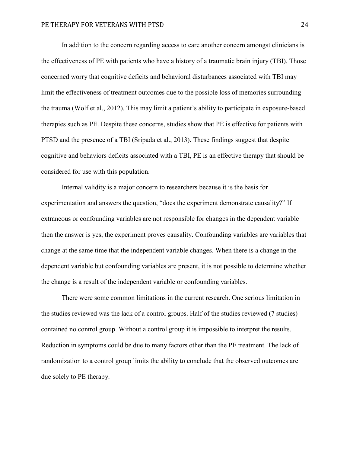In addition to the concern regarding access to care another concern amongst clinicians is the effectiveness of PE with patients who have a history of a traumatic brain injury (TBI). Those concerned worry that cognitive deficits and behavioral disturbances associated with TBI may limit the effectiveness of treatment outcomes due to the possible loss of memories surrounding the trauma (Wolf et al., 2012). This may limit a patient's ability to participate in exposure-based therapies such as PE. Despite these concerns, studies show that PE is effective for patients with PTSD and the presence of a TBI (Sripada et al., 2013). These findings suggest that despite cognitive and behaviors deficits associated with a TBI, PE is an effective therapy that should be considered for use with this population.

Internal validity is a major concern to researchers because it is the basis for experimentation and answers the question, "does the experiment demonstrate causality?" If extraneous or confounding variables are not responsible for changes in the dependent variable then the answer is yes, the experiment proves causality. Confounding variables are variables that change at the same time that the independent variable changes. When there is a change in the dependent variable but confounding variables are present, it is not possible to determine whether the change is a result of the independent variable or confounding variables.

There were some common limitations in the current research. One serious limitation in the studies reviewed was the lack of a control groups. Half of the studies reviewed (7 studies) contained no control group. Without a control group it is impossible to interpret the results. Reduction in symptoms could be due to many factors other than the PE treatment. The lack of randomization to a control group limits the ability to conclude that the observed outcomes are due solely to PE therapy.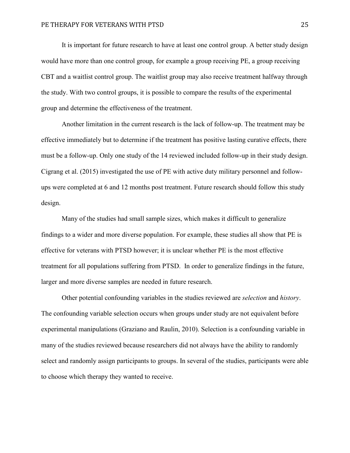It is important for future research to have at least one control group. A better study design would have more than one control group, for example a group receiving PE, a group receiving CBT and a waitlist control group. The waitlist group may also receive treatment halfway through the study. With two control groups, it is possible to compare the results of the experimental group and determine the effectiveness of the treatment.

Another limitation in the current research is the lack of follow-up. The treatment may be effective immediately but to determine if the treatment has positive lasting curative effects, there must be a follow-up. Only one study of the 14 reviewed included follow-up in their study design. Cigrang et al. (2015) investigated the use of PE with active duty military personnel and followups were completed at 6 and 12 months post treatment. Future research should follow this study design.

Many of the studies had small sample sizes, which makes it difficult to generalize findings to a wider and more diverse population. For example, these studies all show that PE is effective for veterans with PTSD however; it is unclear whether PE is the most effective treatment for all populations suffering from PTSD. In order to generalize findings in the future, larger and more diverse samples are needed in future research.

Other potential confounding variables in the studies reviewed are *selection* and *history*. The confounding variable selection occurs when groups under study are not equivalent before experimental manipulations (Graziano and Raulin, 2010). Selection is a confounding variable in many of the studies reviewed because researchers did not always have the ability to randomly select and randomly assign participants to groups. In several of the studies, participants were able to choose which therapy they wanted to receive.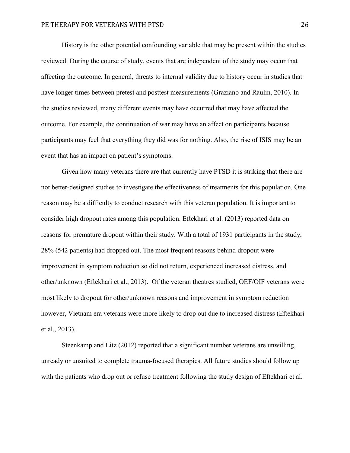History is the other potential confounding variable that may be present within the studies reviewed. During the course of study, events that are independent of the study may occur that affecting the outcome. In general, threats to internal validity due to history occur in studies that have longer times between pretest and posttest measurements (Graziano and Raulin, 2010). In the studies reviewed, many different events may have occurred that may have affected the outcome. For example, the continuation of war may have an affect on participants because participants may feel that everything they did was for nothing. Also, the rise of ISIS may be an event that has an impact on patient's symptoms.

Given how many veterans there are that currently have PTSD it is striking that there are not better-designed studies to investigate the effectiveness of treatments for this population. One reason may be a difficulty to conduct research with this veteran population. It is important to consider high dropout rates among this population. Eftekhari et al. (2013) reported data on reasons for premature dropout within their study. With a total of 1931 participants in the study, 28% (542 patients) had dropped out. The most frequent reasons behind dropout were improvement in symptom reduction so did not return, experienced increased distress, and other/unknown (Eftekhari et al., 2013). Of the veteran theatres studied, OEF/OIF veterans were most likely to dropout for other/unknown reasons and improvement in symptom reduction however, Vietnam era veterans were more likely to drop out due to increased distress (Eftekhari et al., 2013).

Steenkamp and Litz (2012) reported that a significant number veterans are unwilling, unready or unsuited to complete trauma-focused therapies. All future studies should follow up with the patients who drop out or refuse treatment following the study design of Eftekhari et al.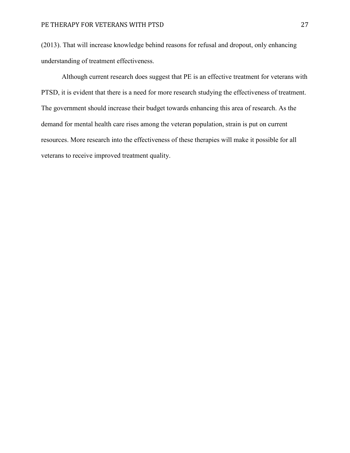(2013). That will increase knowledge behind reasons for refusal and dropout, only enhancing understanding of treatment effectiveness.

Although current research does suggest that PE is an effective treatment for veterans with PTSD, it is evident that there is a need for more research studying the effectiveness of treatment. The government should increase their budget towards enhancing this area of research. As the demand for mental health care rises among the veteran population, strain is put on current resources. More research into the effectiveness of these therapies will make it possible for all veterans to receive improved treatment quality.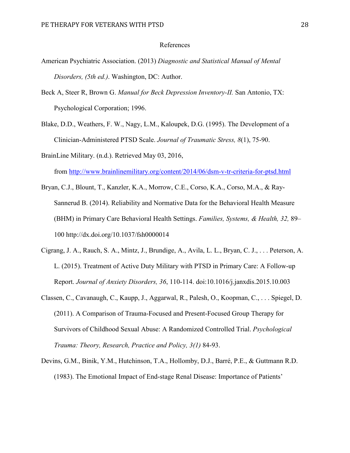#### References

- American Psychiatric Association. (2013) *Diagnostic and Statistical Manual of Mental Disorders, (5th ed.)*. Washington, DC: Author.
- Beck A, Steer R, Brown G. *Manual for Beck Depression Inventory-II.* San Antonio, TX: Psychological Corporation; 1996.
- Blake, D.D., Weathers, F. W., Nagy, L.M., Kaloupek, D.G. (1995). The Development of a Clinician-Administered PTSD Scale. *Journal of Traumatic Stress, 8*(1), 75-90.
- BrainLine Military. (n.d.). Retrieved May 03, 2016, from<http://www.brainlinemilitary.org/content/2014/06/dsm-v-tr-criteria-for-ptsd.html>
- Bryan, C.J., Blount, T., Kanzler, K.A., Morrow, C.E., Corso, K.A., Corso, M.A., & Ray-Sannerud B. (2014). Reliability and Normative Data for the Behavioral Health Measure (BHM) in Primary Care Behavioral Health Settings. *Families, Systems, & Health, 32,* 89– 100 http://dx.doi.org/10.1037/fsh0000014
- Cigrang, J. A., Rauch, S. A., Mintz, J., Brundige, A., Avila, L. L., Bryan, C. J., . . . Peterson, A. L. (2015). Treatment of Active Duty Military with PTSD in Primary Care: A Follow-up Report. *Journal of Anxiety Disorders, 36*, 110-114. doi:10.1016/j.janxdis.2015.10.003
- Classen, C., Cavanaugh, C., Kaupp, J., Aggarwal, R., Palesh, O., Koopman, C., . . . Spiegel, D. (2011). A Comparison of Trauma-Focused and Present-Focused Group Therapy for Survivors of Childhood Sexual Abuse: A Randomized Controlled Trial. *Psychological Trauma: Theory, Research, Practice and Policy, 3(1)* 84-93.
- Devins, G.M., Binik, Y.M., Hutchinson, T.A., Hollomby, D.J., Barré, P.E., & Guttmann R.D. (1983). The Emotional Impact of End-stage Renal Disease: Importance of Patients'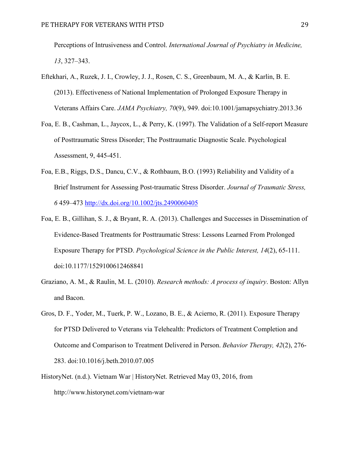Perceptions of Intrusiveness and Control. *International Journal of Psychiatry in Medicine, 13*, 327–343.

- Eftekhari, A., Ruzek, J. I., Crowley, J. J., Rosen, C. S., Greenbaum, M. A., & Karlin, B. E. (2013). Effectiveness of National Implementation of Prolonged Exposure Therapy in Veterans Affairs Care. *JAMA Psychiatry, 70*(9), 949. doi:10.1001/jamapsychiatry.2013.36
- Foa, E. B., Cashman, L., Jaycox, L., & Perry, K. (1997). The Validation of a Self-report Measure of Posttraumatic Stress Disorder; The Posttraumatic Diagnostic Scale. Psychological Assessment, 9, 445-451.
- Foa, E.B., Riggs, D.S., Dancu, C.V., & Rothbaum, B.O. (1993) Reliability and Validity of a Brief Instrument for Assessing Post-traumatic Stress Disorder. *Journal of Traumatic Stress, 6* 459–473<http://dx.doi.org/10.1002/jts.2490060405>
- Foa, E. B., Gillihan, S. J., & Bryant, R. A. (2013). Challenges and Successes in Dissemination of Evidence-Based Treatments for Posttraumatic Stress: Lessons Learned From Prolonged Exposure Therapy for PTSD. *Psychological Science in the Public Interest, 14*(2), 65-111. doi:10.1177/1529100612468841
- Graziano, A. M., & Raulin, M. L. (2010). *Research methods: A process of inquiry*. Boston: Allyn and Bacon.
- Gros, D. F., Yoder, M., Tuerk, P. W., Lozano, B. E., & Acierno, R. (2011). Exposure Therapy for PTSD Delivered to Veterans via Telehealth: Predictors of Treatment Completion and Outcome and Comparison to Treatment Delivered in Person. *Behavior Therapy, 42*(2), 276- 283. doi:10.1016/j.beth.2010.07.005
- HistoryNet. (n.d.). Vietnam War | HistoryNet. Retrieved May 03, 2016, from http://www.historynet.com/vietnam-war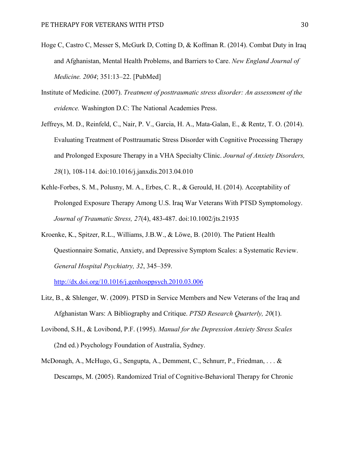- Hoge C, Castro C, Messer S, McGurk D, Cotting D, & Koffman R. (2014). Combat Duty in Iraq and Afghanistan, Mental Health Problems, and Barriers to Care. *New England Journal of Medicine. 2004*; 351:13–22. [PubMed]
- Institute of Medicine. (2007). *Treatment of posttraumatic stress disorder: An assessment of the evidence.* Washington D.C: The National Academies Press.
- Jeffreys, M. D., Reinfeld, C., Nair, P. V., Garcia, H. A., Mata-Galan, E., & Rentz, T. O. (2014). Evaluating Treatment of Posttraumatic Stress Disorder with Cognitive Processing Therapy and Prolonged Exposure Therapy in a VHA Specialty Clinic. *Journal of Anxiety Disorders, 28*(1), 108-114. doi:10.1016/j.janxdis.2013.04.010
- Kehle-Forbes, S. M., Polusny, M. A., Erbes, C. R., & Gerould, H. (2014). Acceptability of Prolonged Exposure Therapy Among U.S. Iraq War Veterans With PTSD Symptomology. *Journal of Traumatic Stress, 27*(4), 483-487. doi:10.1002/jts.21935
- Kroenke, K., Spitzer, R.L., Williams, J.B.W., & Löwe, B. (2010). The Patient Health Questionnaire Somatic, Anxiety, and Depressive Symptom Scales: a Systematic Review. *General Hospital Psychiatry, 32*, 345–359.

<http://dx.doi.org/10.1016/j.genhosppsych.2010.03.006>

- Litz, B., & Shlenger, W. (2009). PTSD in Service Members and New Veterans of the Iraq and Afghanistan Wars: A Bibliography and Critique. *PTSD Research Quarterly, 20*(1).
- Lovibond, S.H., & Lovibond, P.F. (1995). *Manual for the Depression Anxiety Stress Scales* (2nd ed.) Psychology Foundation of Australia, Sydney.
- McDonagh, A., McHugo, G., Sengupta, A., Demment, C., Schnurr, P., Friedman, . . . & Descamps, M. (2005). Randomized Trial of Cognitive-Behavioral Therapy for Chronic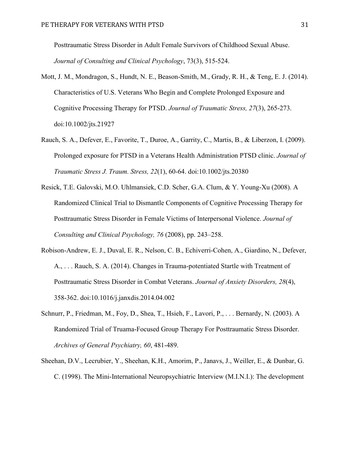Posttraumatic Stress Disorder in Adult Female Survivors of Childhood Sexual Abuse. *Journal of Consulting and Clinical Psychology*, 73(3), 515-524.

- Mott, J. M., Mondragon, S., Hundt, N. E., Beason-Smith, M., Grady, R. H., & Teng, E. J. (2014). Characteristics of U.S. Veterans Who Begin and Complete Prolonged Exposure and Cognitive Processing Therapy for PTSD. *Journal of Traumatic Stress, 27*(3), 265-273. doi:10.1002/jts.21927
- Rauch, S. A., Defever, E., Favorite, T., Duroe, A., Garrity, C., Martis, B., & Liberzon, I. (2009). Prolonged exposure for PTSD in a Veterans Health Administration PTSD clinic. *Journal of Traumatic Stress J. Traum. Stress, 22*(1), 60-64. doi:10.1002/jts.20380
- Resick, T.E. Galovski, M.O. Uhlmansiek, C.D. Scher, G.A. Clum, & Y. Young-Xu (2008). A Randomized Clinical Trial to Dismantle Components of Cognitive Processing Therapy for Posttraumatic Stress Disorder in Female Victims of Interpersonal Violence. *Journal of Consulting and Clinical Psychology, 76* (2008), pp. 243–258.
- Robison-Andrew, E. J., Duval, E. R., Nelson, C. B., Echiverri-Cohen, A., Giardino, N., Defever, A., . . . Rauch, S. A. (2014). Changes in Trauma-potentiated Startle with Treatment of Posttraumatic Stress Disorder in Combat Veterans. *Journal of Anxiety Disorders, 28*(4), 358-362. doi:10.1016/j.janxdis.2014.04.002
- Schnurr, P., Friedman, M., Foy, D., Shea, T., Hsieh, F., Lavori, P., ... Bernardy, N. (2003). A Randomized Trial of Truama-Focused Group Therapy For Posttraumatic Stress Disorder. *Archives of General Psychiatry, 60*, 481-489.
- Sheehan, D.V., Lecrubier, Y., Sheehan, K.H., Amorim, P., Janavs, J., Weiller, E., & Dunbar, G. C. (1998). The Mini-International Neuropsychiatric Interview (M.I.N.I.): The development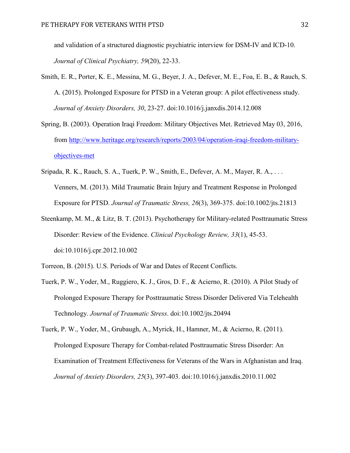and validation of a structured diagnostic psychiatric interview for DSM-IV and ICD-10. *Journal of Clinical Psychiatry, 59*(20), 22-33.

- Smith, E. R., Porter, K. E., Messina, M. G., Beyer, J. A., Defever, M. E., Foa, E. B., & Rauch, S. A. (2015). Prolonged Exposure for PTSD in a Veteran group: A pilot effectiveness study. *Journal of Anxiety Disorders, 30*, 23-27. doi:10.1016/j.janxdis.2014.12.008
- Spring, B. (2003). Operation Iraqi Freedom: Military Objectives Met. Retrieved May 03, 2016, from [http://www.heritage.org/research/reports/2003/04/operation-iraqi-freedom-military](http://www.heritage.org/research/reports/2003/04/operation-iraqi-freedom-military-objectives-met)[objectives-met](http://www.heritage.org/research/reports/2003/04/operation-iraqi-freedom-military-objectives-met)
- Sripada, R. K., Rauch, S. A., Tuerk, P. W., Smith, E., Defever, A. M., Mayer, R. A., . . . Venners, M. (2013). Mild Traumatic Brain Injury and Treatment Response in Prolonged Exposure for PTSD. *Journal of Traumatic Stress, 26*(3), 369-375. doi:10.1002/jts.21813
- Steenkamp, M. M., & Litz, B. T. (2013). Psychotherapy for Military-related Posttraumatic Stress Disorder: Review of the Evidence. *Clinical Psychology Review, 33*(1), 45-53. doi:10.1016/j.cpr.2012.10.002
- Torreon, B. (2015). U.S. Periods of War and Dates of Recent Conflicts.
- Tuerk, P. W., Yoder, M., Ruggiero, K. J., Gros, D. F., & Acierno, R. (2010). A Pilot Study of Prolonged Exposure Therapy for Posttraumatic Stress Disorder Delivered Via Telehealth Technology. *Journal of Traumatic Stress*. doi:10.1002/jts.20494
- Tuerk, P. W., Yoder, M., Grubaugh, A., Myrick, H., Hamner, M., & Acierno, R. (2011). Prolonged Exposure Therapy for Combat-related Posttraumatic Stress Disorder: An Examination of Treatment Effectiveness for Veterans of the Wars in Afghanistan and Iraq. *Journal of Anxiety Disorders, 25*(3), 397-403. doi:10.1016/j.janxdis.2010.11.002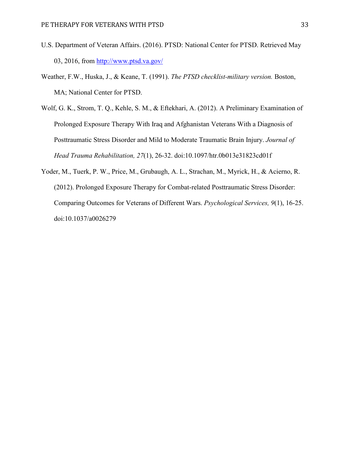- U.S. Department of Veteran Affairs. (2016). PTSD: National Center for PTSD. Retrieved May 03, 2016, from<http://www.ptsd.va.gov/>
- Weather, F.W., Huska, J., & Keane, T. (1991). *The PTSD checklist-military version.* Boston, MA; National Center for PTSD.
- Wolf, G. K., Strom, T. Q., Kehle, S. M., & Eftekhari, A. (2012). A Preliminary Examination of Prolonged Exposure Therapy With Iraq and Afghanistan Veterans With a Diagnosis of Posttraumatic Stress Disorder and Mild to Moderate Traumatic Brain Injury. *Journal of Head Trauma Rehabilitation, 27*(1), 26-32. doi:10.1097/htr.0b013e31823cd01f
- Yoder, M., Tuerk, P. W., Price, M., Grubaugh, A. L., Strachan, M., Myrick, H., & Acierno, R. (2012). Prolonged Exposure Therapy for Combat-related Posttraumatic Stress Disorder: Comparing Outcomes for Veterans of Different Wars. *Psychological Services, 9*(1), 16-25. doi:10.1037/a0026279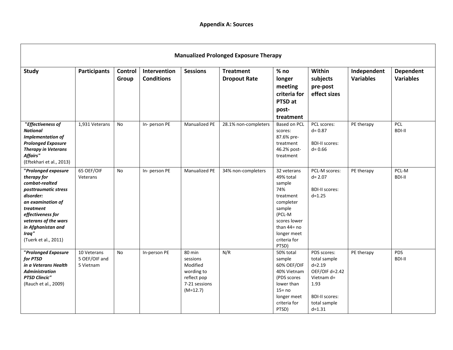|                                                                                                                                                                                                                                 | <b>Manualized Prolonged Exposure Therapy</b> |                         |                                   |                                                                                            |                                         |                                                                                                                                                                   |                                                                                                                                          |                                 |                                      |
|---------------------------------------------------------------------------------------------------------------------------------------------------------------------------------------------------------------------------------|----------------------------------------------|-------------------------|-----------------------------------|--------------------------------------------------------------------------------------------|-----------------------------------------|-------------------------------------------------------------------------------------------------------------------------------------------------------------------|------------------------------------------------------------------------------------------------------------------------------------------|---------------------------------|--------------------------------------|
| <b>Study</b>                                                                                                                                                                                                                    | <b>Participants</b>                          | <b>Control</b><br>Group | Intervention<br><b>Conditions</b> | <b>Sessions</b>                                                                            | <b>Treatment</b><br><b>Dropout Rate</b> | $%$ no<br>longer<br>meeting<br>criteria for<br>PTSD at<br>post-<br>treatment                                                                                      | Within<br>subjects<br>pre-post<br>effect sizes                                                                                           | Independent<br><b>Variables</b> | <b>Dependent</b><br><b>Variables</b> |
| "Effectiveness of<br><b>National</b><br><b>Implementation of</b><br><b>Prolonged Exposure</b><br><b>Therapy in Veterans</b><br><b>Affairs"</b><br>(Eftekhari et al., 2013)                                                      | 1,931 Veterans                               | <b>No</b>               | In-person PE                      | <b>Manualized PE</b>                                                                       | 28.1% non-completers                    | <b>Based on PCL</b><br>scores:<br>87.6% pre-<br>treatment<br>46.2% post-<br>treatment                                                                             | PCL scores:<br>$d = 0.87$<br><b>BDI-II scores:</b><br>$d = 0.66$                                                                         | PE therapy                      | <b>PCL</b><br><b>BDI-II</b>          |
| "Prolonged exposure<br>therapy for<br>combat-realted<br>posttraumatic stress<br>disorder:<br>an examination of<br>treatment<br>effectiveness for<br>veterans of the wars<br>in Afghanistan and<br>Iraq"<br>(Tuerk et al., 2011) | 65 OEF/OIF<br>Veterans                       | <b>No</b>               | In- person PE                     | Manualized PE                                                                              | 34% non-completers                      | 32 veterans<br>49% total<br>sample<br>74%<br>treatment<br>completer<br>sample<br>(PCL-M<br>scores lower<br>than $44 = no$<br>longer meet<br>criteria for<br>PTSD) | PCL-M scores:<br>$d = 2.07$<br><b>BDI-II scores:</b><br>$d = 1.25$                                                                       | PE therapy                      | PCL-M<br><b>BDI-II</b>               |
| "Prolonged Exposure<br>for PTSD<br>in a Veterans Health<br><b>Administration</b><br><b>PTSD Clincic"</b><br>(Rauch et al., 2009)                                                                                                | 10 Veterans<br>5 OEF/OIF and<br>5 Vietnam    | No                      | In-person PE                      | 80 min<br>sessions<br>Modified<br>wording to<br>reflect pop<br>7-21 sessions<br>$(M=12.7)$ | N/R                                     | 50% total<br>sample<br>60% OEF/OIF<br>40% Vietnam<br>(PDS scores<br>lower than<br>$15 = no$<br>longer meet<br>criteria for<br>PTSD)                               | PDS scores:<br>total sample<br>$d = 2.19$<br>OEF/OIF d=2.42<br>Vietnam d=<br>1.93<br><b>BDI-II scores:</b><br>total sample<br>$d = 1.31$ | PE therapy                      | <b>PDS</b><br><b>BDI-II</b>          |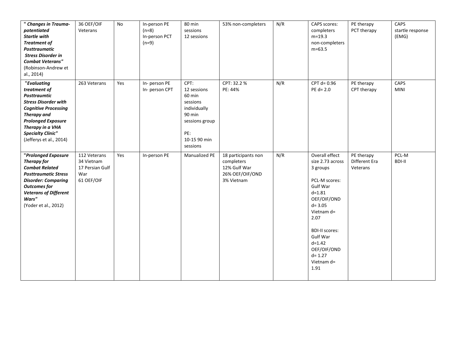| " Changes in Trauma-<br>potentiated<br><b>Startle with</b><br><b>Treatment of</b><br><b>Posttraumatic</b><br><b>Stress Disorder in</b><br><b>Combat Veterans"</b><br>(Robinson-Andrew et<br>al., 2014)                                         | 36 OEF/OIF<br>Veterans                                             | No  | In-person PE<br>$(n=8)$<br>In-person PCT<br>$(n=9)$ | 80 min<br>sessions<br>12 sessions                                                                                        | 53% non-completers                                                                 | N/R | <b>CAPS</b> scores:<br>completers<br>$m=19.3$<br>non-completers<br>$m=63.5$                                                                                                                                                                                        | PE therapy<br>PCT therapy               | CAPS<br>startle response<br>(EMG) |
|------------------------------------------------------------------------------------------------------------------------------------------------------------------------------------------------------------------------------------------------|--------------------------------------------------------------------|-----|-----------------------------------------------------|--------------------------------------------------------------------------------------------------------------------------|------------------------------------------------------------------------------------|-----|--------------------------------------------------------------------------------------------------------------------------------------------------------------------------------------------------------------------------------------------------------------------|-----------------------------------------|-----------------------------------|
| "Evaluating<br>treatment of<br><b>Posttraumtic</b><br><b>Stress Disorder with</b><br><b>Cognitive Processing</b><br><b>Therapy and</b><br><b>Prolonged Exposure</b><br>Therapy in a VHA<br><b>Specialty Clinic"</b><br>(Jefferys et al., 2014) | 263 Veterans                                                       | Yes | In- person PE<br>In-person CPT                      | CPT:<br>12 sessions<br>60 min<br>sessions<br>individually<br>90 min<br>sessions group<br>PE:<br>10-15 90 min<br>sessions | CPT: 32.2 %<br>PE: 44%                                                             | N/R | CPT $d=0.96$<br>$PE d = 2.0$                                                                                                                                                                                                                                       | PE therapy<br>CPT therapy               | CAPS<br><b>MINI</b>               |
| "Prolonged Exposure<br>Therapy for<br><b>Combat Related</b><br><b>Posttraumatic Stress</b><br><b>Disorder: Comparing</b><br><b>Outcomes for</b><br><b>Veterans of Different</b><br>Wars"<br>(Yoder et al., 2012)                               | 112 Veterans<br>34 Vietnam<br>17 Persian Gulf<br>War<br>61 OEF/OIF | Yes | In-person PE                                        | Manualized PE                                                                                                            | 18 participants non<br>completers<br>12% Gulf War<br>26% OEF/OIF/OND<br>3% Vietnam | N/R | Overall effect<br>size 2.73 across<br>3 groups<br>PCL-M scores:<br><b>Gulf War</b><br>$d = 1.81$<br>OEF/OIF/OND<br>$d = 3.05$<br>Vietnam $d=$<br>2.07<br><b>BDI-II scores:</b><br><b>Gulf War</b><br>$d = 1.42$<br>OEF/OIF/OND<br>$d = 1.27$<br>Vietnam d=<br>1.91 | PE therapy<br>Different Era<br>Veterans | PCL-M<br><b>BDI-II</b>            |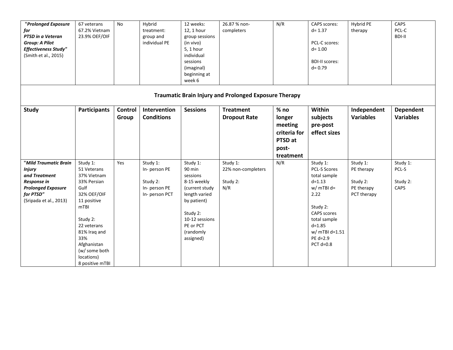| "Prolonged Exposure<br>for<br>PTSD in a Veteran<br><b>Group: A Pilot</b><br><b>Effectiveness Study"</b><br>(Smith et al., 2015)            | 67 veterans<br>67.2% Vietnam<br>23.9% OEF/OIF                                                                                                                                                                                      | <b>No</b>        | Hybrid<br>treatment:<br>group and<br>individual PE                    | 12 weeks:<br>12, 1 hour<br>group sessions<br>(in vivo)<br>5, 1 hour<br>individual<br>sessions<br>(imaginal)<br>beginning at<br>week 6                                | 26.87 % non-<br>completers                                   | N/R                                                                          | <b>CAPS</b> scores:<br>$d = 1.37$<br>PCL-C scores:<br>$d = 1.00$<br><b>BDI-II scores:</b><br>$d = 0.79$                                                                                         | Hybrid PE<br>therapy                                            | CAPS<br>PCL-C<br><b>BDI-II</b>        |
|--------------------------------------------------------------------------------------------------------------------------------------------|------------------------------------------------------------------------------------------------------------------------------------------------------------------------------------------------------------------------------------|------------------|-----------------------------------------------------------------------|----------------------------------------------------------------------------------------------------------------------------------------------------------------------|--------------------------------------------------------------|------------------------------------------------------------------------------|-------------------------------------------------------------------------------------------------------------------------------------------------------------------------------------------------|-----------------------------------------------------------------|---------------------------------------|
|                                                                                                                                            |                                                                                                                                                                                                                                    |                  |                                                                       |                                                                                                                                                                      | <b>Traumatic Brain Injury and Prolonged Exposure Therapy</b> |                                                                              |                                                                                                                                                                                                 |                                                                 |                                       |
| <b>Study</b>                                                                                                                               | <b>Participants</b>                                                                                                                                                                                                                | Control<br>Group | Intervention<br><b>Conditions</b>                                     | <b>Sessions</b>                                                                                                                                                      | <b>Treatment</b><br><b>Dropout Rate</b>                      | $%$ no<br>longer<br>meeting<br>criteria for<br>PTSD at<br>post-<br>treatment | Within<br>subjects<br>pre-post<br>effect sizes                                                                                                                                                  | Independent<br><b>Variables</b>                                 | <b>Dependent</b><br><b>Variables</b>  |
| "Mild Traumatic Brain<br><b>Injury</b><br>and Treatment<br>Response in<br><b>Prolonged Exposure</b><br>for PTSD"<br>(Sripada et al., 2013) | Study 1:<br>51 Veterans<br>37% Vietnam<br>33% Persian<br>Gulf<br>32% OEF/OIF<br>11 positive<br>m <sub>TBI</sub><br>Study 2:<br>22 veterans<br>81% Iraq and<br>33%<br>Afghanistan<br>(w/ some both<br>locations)<br>8 positive mTBI | Yes              | Study 1:<br>In-person PE<br>Study 2:<br>In-person PE<br>In-person PCT | Study 1:<br>90 min<br>sessions<br>8-15 weekly<br>(current study<br>length varied<br>by patient)<br>Study 2:<br>10-12 sessions<br>PE or PCT<br>(randomly<br>assigned) | Study 1:<br>22% non-completers<br>Study 2:<br>N/R            | N/R                                                                          | Study 1:<br><b>PCL-S Scores</b><br>total sample<br>$d = 1.13$<br>$w/mTBl$ d=<br>2.22<br>Study 2:<br><b>CAPS</b> scores<br>total sample<br>$d = 1.85$<br>w/ mTBI d=1.51<br>PE d=2.9<br>PCT d=0.8 | Study 1:<br>PE therapy<br>Study 2:<br>PE therapy<br>PCT therapy | Study 1:<br>PCL-S<br>Study 2:<br>CAPS |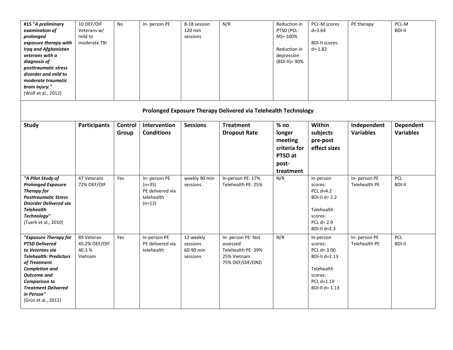| #15 "A preliminary<br>examination of<br>prolonged<br>exposure therapy with<br><b>Iraq and Afghanistan</b><br>veterans with a<br>diagnosis of<br>posttraumatic stress<br>disorder and mild to<br>moderate traumatic<br>brain injury."<br>(Wolf et al., 2012)  | 10 OEF/OIF<br>Veterans w/<br>mild to<br>moderate TBI | No               | In- person PE                                                           | 8-18 session<br>120 min<br>sessions            | N/R                                                                                    | Reduction in<br>PTSD (PCL-<br>$M$ )= 100%<br>Reduction in<br>depression<br>$(BDI-II)=90%$ | PCL-M scores<br>$d = 3.64$<br><b>BDI-II scores:</b><br>$d = 1.82$                                                 | PE therapy                      | PCL-M<br><b>BDI-II</b>               |
|--------------------------------------------------------------------------------------------------------------------------------------------------------------------------------------------------------------------------------------------------------------|------------------------------------------------------|------------------|-------------------------------------------------------------------------|------------------------------------------------|----------------------------------------------------------------------------------------|-------------------------------------------------------------------------------------------|-------------------------------------------------------------------------------------------------------------------|---------------------------------|--------------------------------------|
|                                                                                                                                                                                                                                                              |                                                      |                  |                                                                         |                                                | Prolonged Exposure Therapy Delivered via Telehealth Technology                         |                                                                                           |                                                                                                                   |                                 |                                      |
| <b>Study</b>                                                                                                                                                                                                                                                 | <b>Participants</b>                                  | Control<br>Group | Intervention<br><b>Conditions</b>                                       | <b>Sessions</b>                                | <b>Treatment</b><br><b>Dropout Rate</b>                                                | $%$ no<br>longer<br>meeting<br>criteria for<br>PTSD at<br>post-<br>treatment              | Within<br>subjects<br>pre-post<br>effect sizes                                                                    | Independent<br><b>Variables</b> | <b>Dependent</b><br><b>Variables</b> |
| "A Pilot Study of<br><b>Prolonged Exposure</b><br><b>Therapy for</b><br><b>Posttraumatic Stress</b><br><b>Disorder Delivered via</b><br><b>Telehealth</b><br>Technology"<br>(Tuerk et al., 2010)                                                             | 47 Veterans<br>72% OEF/OIF                           | Yes              | In- person PE<br>$(n=35)$<br>PE delivered via<br>telehealth<br>$(n=12)$ | weekly 90 min<br>sessions                      | In-person PE: 17%<br>Telehealth PE: 25%                                                | N/R                                                                                       | In-person<br>scores:<br>PCL $d=4.2$<br>BDI-II $d=2.2$<br>Telehealth<br>scores:<br>PCL $d=2.9$<br>BDI-II d=2.3     | In- person PE<br>Telehealth PE  | <b>PCL</b><br>BDI-II                 |
| "Exposure Therapy for<br><b>PTSD Delivered</b><br>to Veterans via<br><b>Telehealth: Predictors</b><br>of Treatment<br><b>Completion and</b><br><b>Outcome</b> and<br><b>Comparison to</b><br><b>Treatment Delivered</b><br>in Person"<br>(Gros et al., 2011) | 89 Veteran<br>45.2% OEF/OIF<br>40.3%<br>Vietnam      | Yes              | In-person PE<br>PE delivered via<br>telehealth                          | 12 weekly<br>sessions<br>60-90 min<br>sessions | In- person PE: Not<br>assessed<br>Telehealth PE: 39%<br>25% Vietnam<br>75% OEF/OIF/OND | N/R                                                                                       | In-person<br>scores:<br>PCL $d = 3.00$<br>BDI-II d=2.13<br>Telehealth<br>scores:<br>PCL d=1.19<br>BDI-II $d=1.13$ | In- person PE<br>Telehealth PE  | <b>PCL</b><br><b>BDI-II</b>          |